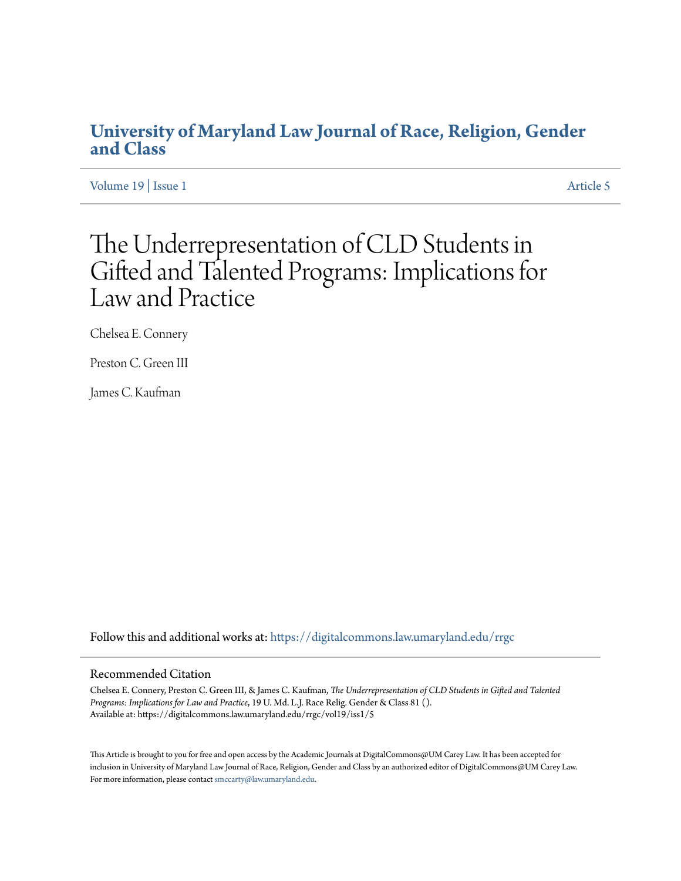# **[University of Maryland Law Journal of Race, Religion, Gender](https://digitalcommons.law.umaryland.edu/rrgc?utm_source=digitalcommons.law.umaryland.edu%2Frrgc%2Fvol19%2Fiss1%2F5&utm_medium=PDF&utm_campaign=PDFCoverPages) [and Class](https://digitalcommons.law.umaryland.edu/rrgc?utm_source=digitalcommons.law.umaryland.edu%2Frrgc%2Fvol19%2Fiss1%2F5&utm_medium=PDF&utm_campaign=PDFCoverPages)**

[Volume 19](https://digitalcommons.law.umaryland.edu/rrgc/vol19?utm_source=digitalcommons.law.umaryland.edu%2Frrgc%2Fvol19%2Fiss1%2F5&utm_medium=PDF&utm_campaign=PDFCoverPages) | [Issue 1](https://digitalcommons.law.umaryland.edu/rrgc/vol19/iss1?utm_source=digitalcommons.law.umaryland.edu%2Frrgc%2Fvol19%2Fiss1%2F5&utm_medium=PDF&utm_campaign=PDFCoverPages) [Article 5](https://digitalcommons.law.umaryland.edu/rrgc/vol19/iss1/5?utm_source=digitalcommons.law.umaryland.edu%2Frrgc%2Fvol19%2Fiss1%2F5&utm_medium=PDF&utm_campaign=PDFCoverPages)

# The Underrepresentation of CLD Students in Gifted and Talented Programs: Implications for Law and Practice

Chelsea E. Connery

Preston C. Green III

James C. Kaufman

Follow this and additional works at: [https://digitalcommons.law.umaryland.edu/rrgc](https://digitalcommons.law.umaryland.edu/rrgc?utm_source=digitalcommons.law.umaryland.edu%2Frrgc%2Fvol19%2Fiss1%2F5&utm_medium=PDF&utm_campaign=PDFCoverPages)

#### Recommended Citation

Chelsea E. Connery, Preston C. Green III, & James C. Kaufman, *The Underrepresentation of CLD Students in Gifted and Talented Programs: Implications for Law and Practice*, 19 U. Md. L.J. Race Relig. Gender & Class 81 (). Available at: https://digitalcommons.law.umaryland.edu/rrgc/vol19/iss1/5

This Article is brought to you for free and open access by the Academic Journals at DigitalCommons@UM Carey Law. It has been accepted for inclusion in University of Maryland Law Journal of Race, Religion, Gender and Class by an authorized editor of DigitalCommons@UM Carey Law. For more information, please contact [smccarty@law.umaryland.edu.](mailto:smccarty@law.umaryland.edu)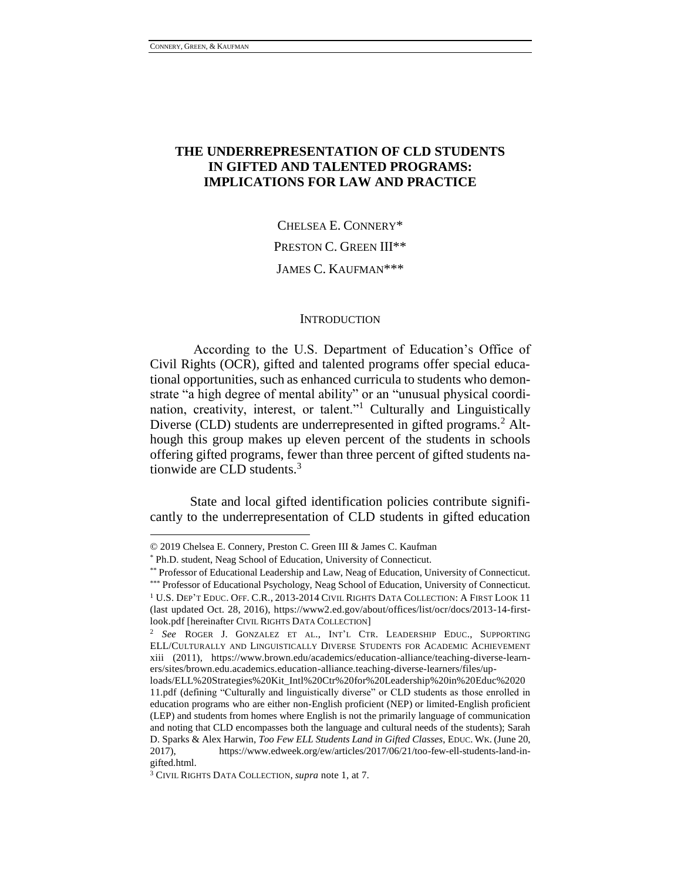$\overline{a}$ 

# **THE UNDERREPRESENTATION OF CLD STUDENTS IN GIFTED AND TALENTED PROGRAMS: IMPLICATIONS FOR LAW AND PRACTICE**

CHELSEA E. CONNERY\* PRESTON C. GREEN III\*\* JAMES C. KAUFMAN\*\*\*

#### **INTRODUCTION**

According to the U.S. Department of Education's Office of Civil Rights (OCR), gifted and talented programs offer special educational opportunities, such as enhanced curricula to students who demonstrate "a high degree of mental ability" or an "unusual physical coordination, creativity, interest, or talent."<sup>1</sup> Culturally and Linguistically Diverse (CLD) students are underrepresented in gifted programs.<sup>2</sup> Although this group makes up eleven percent of the students in schools offering gifted programs, fewer than three percent of gifted students nationwide are CLD students.<sup>3</sup>

State and local gifted identification policies contribute significantly to the underrepresentation of CLD students in gifted education

<sup>©</sup> 2019 Chelsea E. Connery, Preston C. Green III & James C. Kaufman

<sup>\*</sup> Ph.D. student, Neag School of Education, University of Connecticut.

<sup>\*\*</sup> Professor of Educational Leadership and Law, Neag of Education, University of Connecticut.

<sup>\*\*\*</sup> Professor of Educational Psychology, Neag School of Education, University of Connecticut. <sup>1</sup> U.S. Dep't Educ. Off. C.R., 2013-2014 CIVIL RIGHTS DATA COLLECTION: A FIRST LOOK 11 (last updated Oct. 28, 2016), https://www2.ed.gov/about/offices/list/ocr/docs/2013-14-firstlook.pdf [hereinafter CIVIL RIGHTS DATA COLLECTION]

<sup>2</sup> *See* ROGER J. GONZALEZ ET AL., INT'L CTR. LEADERSHIP EDUC., SUPPORTING ELL/CULTURALLY AND LINGUISTICALLY DIVERSE STUDENTS FOR ACADEMIC ACHIEVEMENT xiii (2011), https://www.brown.edu/academics/education-alliance/teaching-diverse-learners/sites/brown.edu.academics.education-alliance.teaching-diverse-learners/files/up-

loads/ELL%20Strategies%20Kit\_Intl%20Ctr%20for%20Leadership%20in%20Educ%2020 11.pdf (defining "Culturally and linguistically diverse" or CLD students as those enrolled in education programs who are either non-English proficient (NEP) or limited-English proficient (LEP) and students from homes where English is not the primarily language of communication and noting that CLD encompasses both the language and cultural needs of the students); Sarah D. Sparks & Alex Harwin, *Too Few ELL Students Land in Gifted Classes*, EDUC. WK. (June 20, 2017), https://www.edweek.org/ew/articles/2017/06/21/too-few-ell-students-land-ingifted.html.

<sup>3</sup> CIVIL RIGHTS DATA COLLECTION, *supra* note 1, at 7.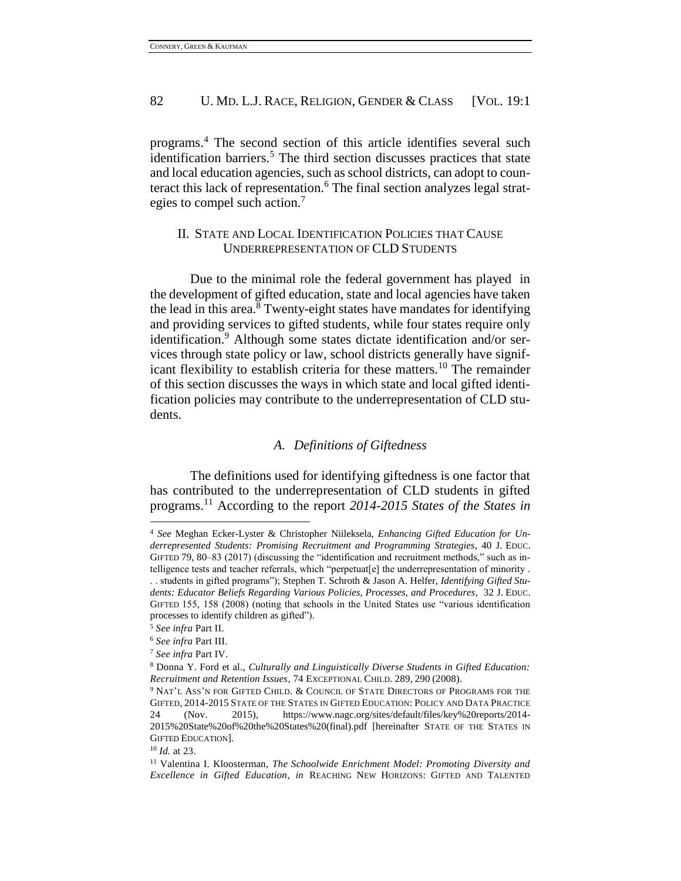programs.<sup>4</sup> The second section of this article identifies several such identification barriers.<sup>5</sup> The third section discusses practices that state and local education agencies, such as school districts, can adopt to counteract this lack of representation.<sup>6</sup> The final section analyzes legal strategies to compel such action.<sup>7</sup>

# II. STATE AND LOCAL IDENTIFICATION POLICIES THAT CAUSE UNDERREPRESENTATION OF CLD STUDENTS

Due to the minimal role the federal government has played in the development of gifted education, state and local agencies have taken the lead in this area. $8$  Twenty-eight states have mandates for identifying and providing services to gifted students, while four states require only identification.<sup>9</sup> Although some states dictate identification and/or services through state policy or law, school districts generally have significant flexibility to establish criteria for these matters.<sup>10</sup> The remainder of this section discusses the ways in which state and local gifted identification policies may contribute to the underrepresentation of CLD students.

# *A. Definitions of Giftedness*

The definitions used for identifying giftedness is one factor that has contributed to the underrepresentation of CLD students in gifted programs.<sup>11</sup> According to the report *2014-2015 States of the States in* 

<sup>4</sup> *See* Meghan Ecker-Lyster & Christopher Niileksela, *Enhancing Gifted Education for Underrepresented Students: Promising Recruitment and Programming Strategies*, 40 J. EDUC. GIFTED 79, 80–83 (2017) (discussing the "identification and recruitment methods," such as intelligence tests and teacher referrals, which "perpetuat[e] the underrepresentation of minority . . . students in gifted programs"); Stephen T. Schroth & Jason A. Helfer, *Identifying Gifted Students: Educator Beliefs Regarding Various Policies, Processes, and Procedures*, 32 J. EDUC. GIFTED 155, 158 (2008) (noting that schools in the United States use "various identification processes to identify children as gifted").

<sup>5</sup> *See infra* Part II.

<sup>6</sup> *See infra* Part III.

<sup>7</sup> *See infra* Part IV.

<sup>8</sup> Donna Y. Ford et al., *Culturally and Linguistically Diverse Students in Gifted Education: Recruitment and Retention Issues*, 74 EXCEPTIONAL CHILD. 289, 290 (2008).

<sup>&</sup>lt;sup>9</sup> NAT'L ASS'N FOR GIFTED CHILD. & COUNCIL OF STATE DIRECTORS OF PROGRAMS FOR THE GIFTED, 2014-2015 STATE OF THE STATES IN GIFTED EDUCATION: POLICY AND DATA PRACTICE 24 (Nov. 2015), https://www.nagc.org/sites/default/files/key%20reports/2014- 2015%20State%20of%20the%20States%20(final).pdf [hereinafter STATE OF THE STATES IN GIFTED EDUCATION].

<sup>10</sup> *Id.* at 23.

<sup>11</sup> Valentina I. Kloosterman, *The Schoolwide Enrichment Model: Promoting Diversity and Excellence in Gifted Education*, *in* REACHING NEW HORIZONS: GIFTED AND TALENTED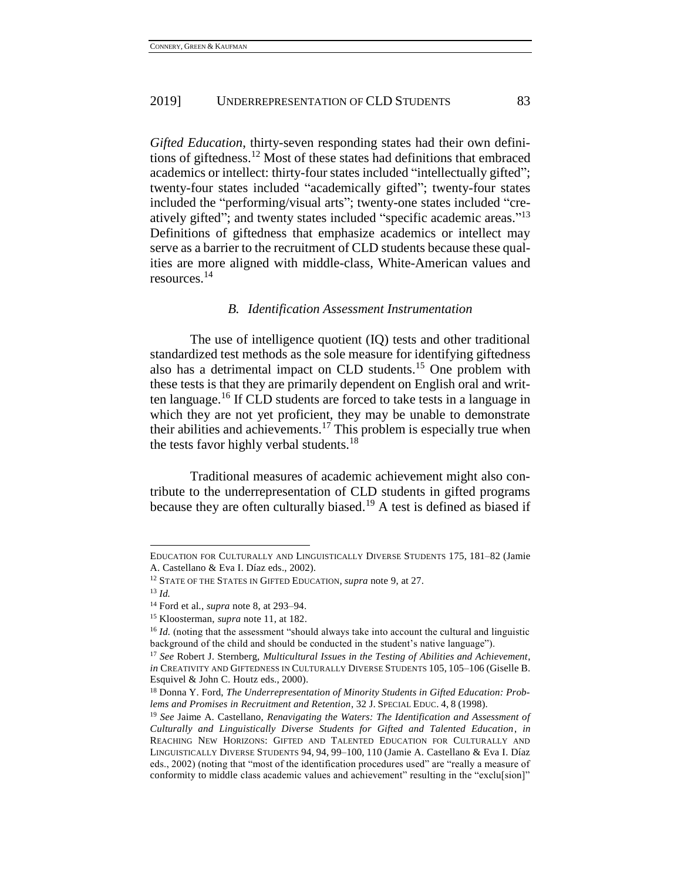*Gifted Education*, thirty-seven responding states had their own definitions of giftedness.<sup>12</sup> Most of these states had definitions that embraced academics or intellect: thirty-four states included "intellectually gifted"; twenty-four states included "academically gifted"; twenty-four states included the "performing/visual arts"; twenty-one states included "creatively gifted"; and twenty states included "specific academic areas."<sup>13</sup> Definitions of giftedness that emphasize academics or intellect may serve as a barrier to the recruitment of CLD students because these qualities are more aligned with middle-class, White-American values and resources.<sup>14</sup>

#### *B. Identification Assessment Instrumentation*

The use of intelligence quotient (IQ) tests and other traditional standardized test methods as the sole measure for identifying giftedness also has a detrimental impact on CLD students.<sup>15</sup> One problem with these tests is that they are primarily dependent on English oral and written language.<sup>16</sup> If CLD students are forced to take tests in a language in which they are not yet proficient, they may be unable to demonstrate their abilities and achievements.<sup>17</sup> This problem is especially true when the tests favor highly verbal students.<sup>18</sup>

Traditional measures of academic achievement might also contribute to the underrepresentation of CLD students in gifted programs because they are often culturally biased.<sup>19</sup> A test is defined as biased if

EDUCATION FOR CULTURALLY AND LINGUISTICALLY DIVERSE STUDENTS 175, 181–82 (Jamie A. Castellano & Eva I. Díaz eds., 2002).

<sup>12</sup> STATE OF THE STATES IN GIFTED EDUCATION, *supra* note 9, at 27.

<sup>13</sup> *Id.*

<sup>14</sup> Ford et al., *supra* note 8, at 293–94.

<sup>15</sup> Kloosterman, *supra* note 11, at 182.

<sup>&</sup>lt;sup>16</sup> *Id.* (noting that the assessment "should always take into account the cultural and linguistic background of the child and should be conducted in the student's native language").

<sup>17</sup> *See* Robert J. Sternberg, *Multicultural Issues in the Testing of Abilities and Achievement*, *in* CREATIVITY AND GIFTEDNESS IN CULTURALLY DIVERSE STUDENTS 105, 105–106 (Giselle B. Esquivel & John C. Houtz eds., 2000).

<sup>18</sup> Donna Y. Ford, *The Underrepresentation of Minority Students in Gifted Education: Problems and Promises in Recruitment and Retention*, 32 J. SPECIAL EDUC. 4, 8 (1998).

<sup>19</sup> *See* Jaime A. Castellano, *Renavigating the Waters: The Identification and Assessment of Culturally and Linguistically Diverse Students for Gifted and Talented Education*, *in*  REACHING NEW HORIZONS: GIFTED AND TALENTED EDUCATION FOR CULTURALLY AND LINGUISTICALLY DIVERSE STUDENTS 94, 94, 99–100, 110 (Jamie A. Castellano & Eva I. Díaz eds., 2002) (noting that "most of the identification procedures used" are "really a measure of conformity to middle class academic values and achievement" resulting in the "exclu[sion]"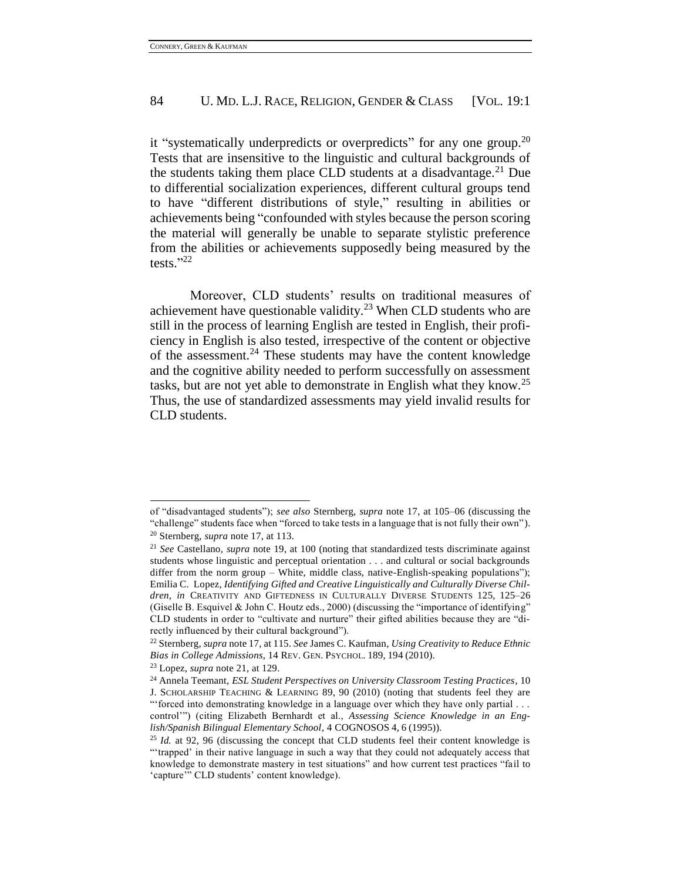it "systematically underpredicts or overpredicts" for any one group.<sup>20</sup> Tests that are insensitive to the linguistic and cultural backgrounds of the students taking them place CLD students at a disadvantage.<sup>21</sup> Due to differential socialization experiences, different cultural groups tend to have "different distributions of style," resulting in abilities or achievements being "confounded with styles because the person scoring the material will generally be unable to separate stylistic preference from the abilities or achievements supposedly being measured by the tests." 22

Moreover, CLD students' results on traditional measures of achievement have questionable validity.<sup>23</sup> When CLD students who are still in the process of learning English are tested in English, their proficiency in English is also tested, irrespective of the content or objective of the assessment.<sup>24</sup> These students may have the content knowledge and the cognitive ability needed to perform successfully on assessment tasks, but are not yet able to demonstrate in English what they know.<sup>25</sup> Thus, the use of standardized assessments may yield invalid results for CLD students.

of "disadvantaged students"); *see also* Sternberg, *supra* note 17, at 105–06 (discussing the "challenge" students face when "forced to take tests in a language that is not fully their own"). <sup>20</sup> Sternberg, *supra* note 17, at 113.

<sup>21</sup> *See* Castellano, *supra* note 19, at 100 (noting that standardized tests discriminate against students whose linguistic and perceptual orientation . . . and cultural or social backgrounds differ from the norm group – White, middle class, native-English-speaking populations"); Emilia C. Lopez, *Identifying Gifted and Creative Linguistically and Culturally Diverse Children*, *in* CREATIVITY AND GIFTEDNESS IN CULTURALLY DIVERSE STUDENTS 125, 125–26 (Giselle B. Esquivel & John C. Houtz eds., 2000) (discussing the "importance of identifying" CLD students in order to "cultivate and nurture" their gifted abilities because they are "directly influenced by their cultural background").

<sup>22</sup> Sternberg, *supra* note 17, at 115. *See* James C. Kaufman, *Using Creativity to Reduce Ethnic Bias in College Admissions*, 14 REV. GEN. PSYCHOL. 189, 194 (2010).

<sup>23</sup> Lopez, *supra* note 21, at 129.

<sup>24</sup> Annela Teemant, *ESL Student Perspectives on University Classroom Testing Practices*, 10 J. SCHOLARSHIP TEACHING & LEARNING 89, 90 (2010) (noting that students feel they are "'forced into demonstrating knowledge in a language over which they have only partial . . . control'") (citing Elizabeth Bernhardt et al., *Assessing Science Knowledge in an English/Spanish Bilingual Elementary School*, 4 COGNOSOS 4, 6 (1995)).

<sup>&</sup>lt;sup>25</sup> *Id.* at 92, 96 (discussing the concept that CLD students feel their content knowledge is "'trapped' in their native language in such a way that they could not adequately access that knowledge to demonstrate mastery in test situations" and how current test practices "fail to 'capture'" CLD students' content knowledge).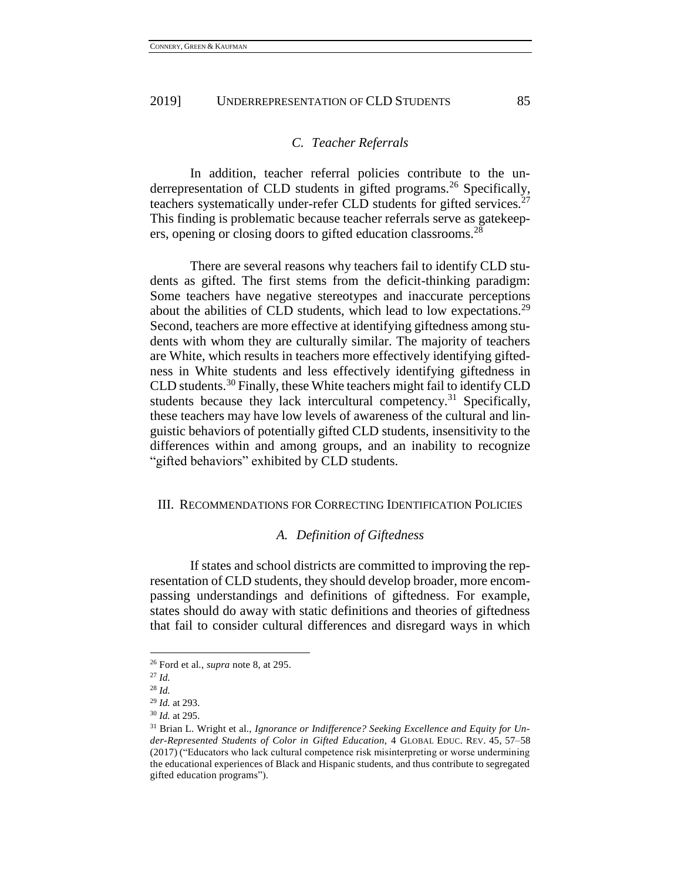#### *C. Teacher Referrals*

In addition, teacher referral policies contribute to the underrepresentation of CLD students in gifted programs.<sup>26</sup> Specifically, teachers systematically under-refer CLD students for gifted services.<sup>27</sup> This finding is problematic because teacher referrals serve as gatekeepers, opening or closing doors to gifted education classrooms.<sup>28</sup>

There are several reasons why teachers fail to identify CLD students as gifted. The first stems from the deficit-thinking paradigm: Some teachers have negative stereotypes and inaccurate perceptions about the abilities of CLD students, which lead to low expectations.<sup>29</sup> Second, teachers are more effective at identifying giftedness among students with whom they are culturally similar. The majority of teachers are White, which results in teachers more effectively identifying giftedness in White students and less effectively identifying giftedness in CLD students.<sup>30</sup> Finally, these White teachers might fail to identify CLD students because they lack intercultural competency.<sup>31</sup> Specifically, these teachers may have low levels of awareness of the cultural and linguistic behaviors of potentially gifted CLD students, insensitivity to the differences within and among groups, and an inability to recognize "gifted behaviors" exhibited by CLD students.

#### III. RECOMMENDATIONS FOR CORRECTING IDENTIFICATION POLICIES

#### *A. Definition of Giftedness*

If states and school districts are committed to improving the representation of CLD students, they should develop broader, more encompassing understandings and definitions of giftedness. For example, states should do away with static definitions and theories of giftedness that fail to consider cultural differences and disregard ways in which

<sup>26</sup> Ford et al., *supra* note 8, at 295.

<sup>27</sup> *Id.*

<sup>28</sup> *Id.*

<sup>29</sup> *Id.* at 293.

<sup>30</sup> *Id.* at 295.

<sup>31</sup> Brian L. Wright et al., *Ignorance or Indifference? Seeking Excellence and Equity for Under-Represented Students of Color in Gifted Education*, 4 GLOBAL EDUC. REV. 45, 57–58 (2017) ("Educators who lack cultural competence risk misinterpreting or worse undermining the educational experiences of Black and Hispanic students, and thus contribute to segregated gifted education programs").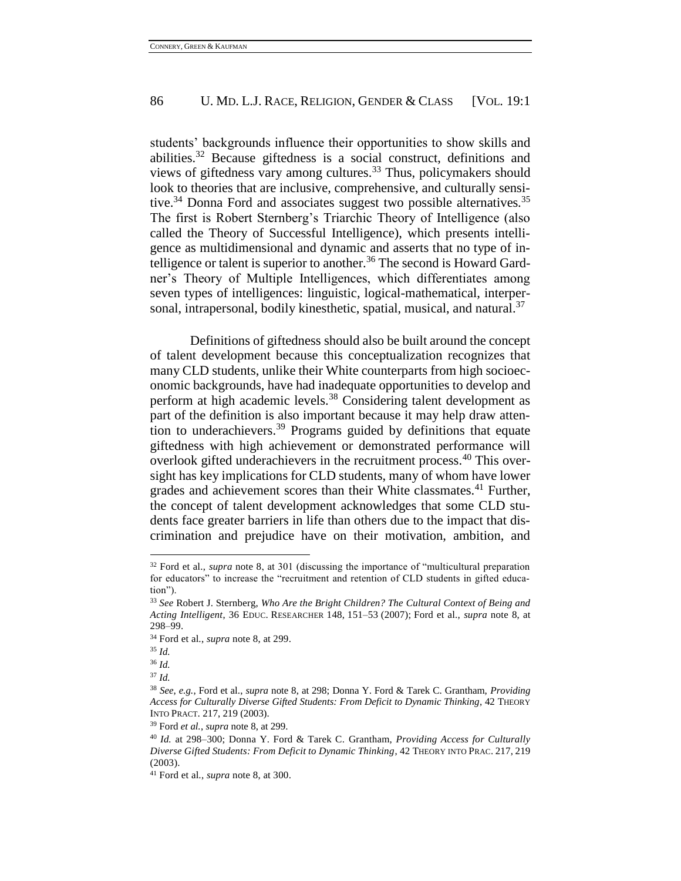students' backgrounds influence their opportunities to show skills and abilities.<sup>32</sup> Because giftedness is a social construct, definitions and views of giftedness vary among cultures.<sup>33</sup> Thus, policymakers should look to theories that are inclusive, comprehensive, and culturally sensitive.<sup>34</sup> Donna Ford and associates suggest two possible alternatives.<sup>35</sup> The first is Robert Sternberg's Triarchic Theory of Intelligence (also called the Theory of Successful Intelligence), which presents intelligence as multidimensional and dynamic and asserts that no type of intelligence or talent is superior to another.<sup>36</sup> The second is Howard Gardner's Theory of Multiple Intelligences, which differentiates among seven types of intelligences: linguistic, logical-mathematical, interpersonal, intrapersonal, bodily kinesthetic, spatial, musical, and natural.<sup>37</sup>

Definitions of giftedness should also be built around the concept of talent development because this conceptualization recognizes that many CLD students, unlike their White counterparts from high socioeconomic backgrounds, have had inadequate opportunities to develop and perform at high academic levels.<sup>38</sup> Considering talent development as part of the definition is also important because it may help draw attention to underachievers.<sup>39</sup> Programs guided by definitions that equate giftedness with high achievement or demonstrated performance will overlook gifted underachievers in the recruitment process.<sup>40</sup> This oversight has key implications for CLD students, many of whom have lower grades and achievement scores than their White classmates.<sup>41</sup> Further, the concept of talent development acknowledges that some CLD students face greater barriers in life than others due to the impact that discrimination and prejudice have on their motivation, ambition, and

 $\overline{a}$ 

<sup>37</sup> *Id.*

<sup>32</sup> Ford et al., *supra* note 8, at 301 (discussing the importance of "multicultural preparation for educators" to increase the "recruitment and retention of CLD students in gifted education").

<sup>33</sup> *See* Robert J. Sternberg, *Who Are the Bright Children? The Cultural Context of Being and Acting Intelligent*, 36 EDUC. RESEARCHER 148, 151–53 (2007); Ford et al., *supra* note 8, at 298–99.

<sup>34</sup> Ford et al., *supra* note 8, at 299.

<sup>35</sup> *Id.*

<sup>36</sup> *Id.*

<sup>38</sup> *See*, *e.g.*, Ford et al., *supra* note 8, at 298; Donna Y. Ford & Tarek C. Grantham, *Providing Access for Culturally Diverse Gifted Students: From Deficit to Dynamic Thinking*, 42 THEORY INTO PRACT. 217, 219 (2003).

<sup>39</sup> Ford *et al.*, *supra* note 8, at 299.

<sup>40</sup> *Id.* at 298–300; Donna Y. Ford & Tarek C. Grantham, *Providing Access for Culturally Diverse Gifted Students: From Deficit to Dynamic Thinking*, 42 THEORY INTO PRAC. 217, 219 (2003).

<sup>41</sup> Ford et al., *supra* note 8, at 300.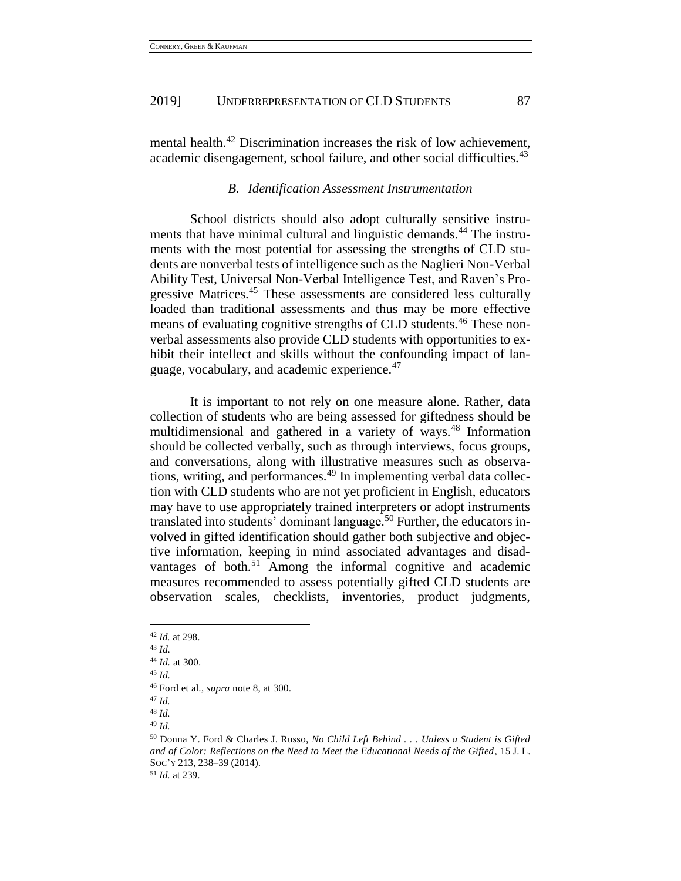mental health.<sup>42</sup> Discrimination increases the risk of low achievement, academic disengagement, school failure, and other social difficulties.<sup>43</sup>

#### *B. Identification Assessment Instrumentation*

School districts should also adopt culturally sensitive instruments that have minimal cultural and linguistic demands.<sup>44</sup> The instruments with the most potential for assessing the strengths of CLD students are nonverbal tests of intelligence such as the Naglieri Non-Verbal Ability Test, Universal Non-Verbal Intelligence Test, and Raven's Progressive Matrices.<sup>45</sup> These assessments are considered less culturally loaded than traditional assessments and thus may be more effective means of evaluating cognitive strengths of CLD students.<sup>46</sup> These nonverbal assessments also provide CLD students with opportunities to exhibit their intellect and skills without the confounding impact of language, vocabulary, and academic experience.<sup>47</sup>

It is important to not rely on one measure alone. Rather, data collection of students who are being assessed for giftedness should be multidimensional and gathered in a variety of ways.<sup>48</sup> Information should be collected verbally, such as through interviews, focus groups, and conversations, along with illustrative measures such as observations, writing, and performances.<sup>49</sup> In implementing verbal data collection with CLD students who are not yet proficient in English, educators may have to use appropriately trained interpreters or adopt instruments translated into students' dominant language.<sup>50</sup> Further, the educators involved in gifted identification should gather both subjective and objective information, keeping in mind associated advantages and disadvantages of both.<sup>51</sup> Among the informal cognitive and academic measures recommended to assess potentially gifted CLD students are observation scales, checklists, inventories, product judgments,

 $\overline{a}$ 

<sup>51</sup> *Id.* at 239.

<sup>42</sup> *Id.* at 298.

<sup>43</sup> *Id.*

<sup>44</sup> *Id.* at 300.

<sup>45</sup> *Id.*

<sup>46</sup> Ford et al., *supra* note 8, at 300.

<sup>47</sup> *Id.*

<sup>48</sup> *Id.*

<sup>49</sup> *Id.*

<sup>50</sup> Donna Y. Ford & Charles J. Russo, *No Child Left Behind . . . Unless a Student is Gifted and of Color: Reflections on the Need to Meet the Educational Needs of the Gifted*, 15 J. L. SOC'Y 213, 238–39 (2014).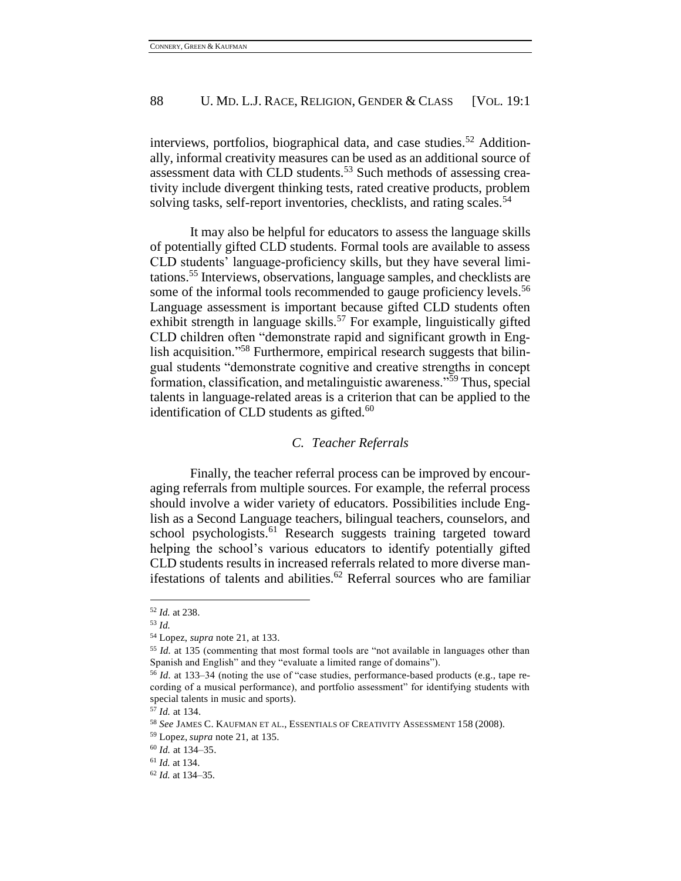interviews, portfolios, biographical data, and case studies.<sup>52</sup> Additionally, informal creativity measures can be used as an additional source of assessment data with CLD students.<sup>53</sup> Such methods of assessing creativity include divergent thinking tests, rated creative products, problem solving tasks, self-report inventories, checklists, and rating scales.<sup>54</sup>

It may also be helpful for educators to assess the language skills of potentially gifted CLD students. Formal tools are available to assess CLD students' language-proficiency skills, but they have several limitations.<sup>55</sup> Interviews, observations, language samples, and checklists are some of the informal tools recommended to gauge proficiency levels.<sup>56</sup> Language assessment is important because gifted CLD students often exhibit strength in language skills.<sup>57</sup> For example, linguistically gifted CLD children often "demonstrate rapid and significant growth in English acquisition."<sup>58</sup> Furthermore, empirical research suggests that bilingual students "demonstrate cognitive and creative strengths in concept formation, classification, and metalinguistic awareness."<sup>59</sup> Thus, special talents in language-related areas is a criterion that can be applied to the identification of CLD students as gifted. $60$ 

# *C. Teacher Referrals*

Finally, the teacher referral process can be improved by encouraging referrals from multiple sources. For example, the referral process should involve a wider variety of educators. Possibilities include English as a Second Language teachers, bilingual teachers, counselors, and school psychologists.<sup>61</sup> Research suggests training targeted toward helping the school's various educators to identify potentially gifted CLD students results in increased referrals related to more diverse manifestations of talents and abilities. $62$  Referral sources who are familiar

<sup>52</sup> *Id.* at 238.

<sup>53</sup> *Id.*

<sup>54</sup> Lopez, *supra* note 21, at 133.

<sup>55</sup> *Id.* at 135 (commenting that most formal tools are "not available in languages other than Spanish and English" and they "evaluate a limited range of domains").

<sup>56</sup> *Id.* at 133–34 (noting the use of "case studies, performance-based products (e.g., tape recording of a musical performance), and portfolio assessment" for identifying students with special talents in music and sports).

<sup>57</sup> *Id.* at 134.

<sup>58</sup> *See* JAMES C. KAUFMAN ET AL., ESSENTIALS OF CREATIVITY ASSESSMENT 158 (2008).

<sup>59</sup> Lopez, *supra* note 21, at 135.

<sup>60</sup> *Id.* at 134–35.

<sup>61</sup> *Id.* at 134.

<sup>62</sup> *Id.* at 134–35.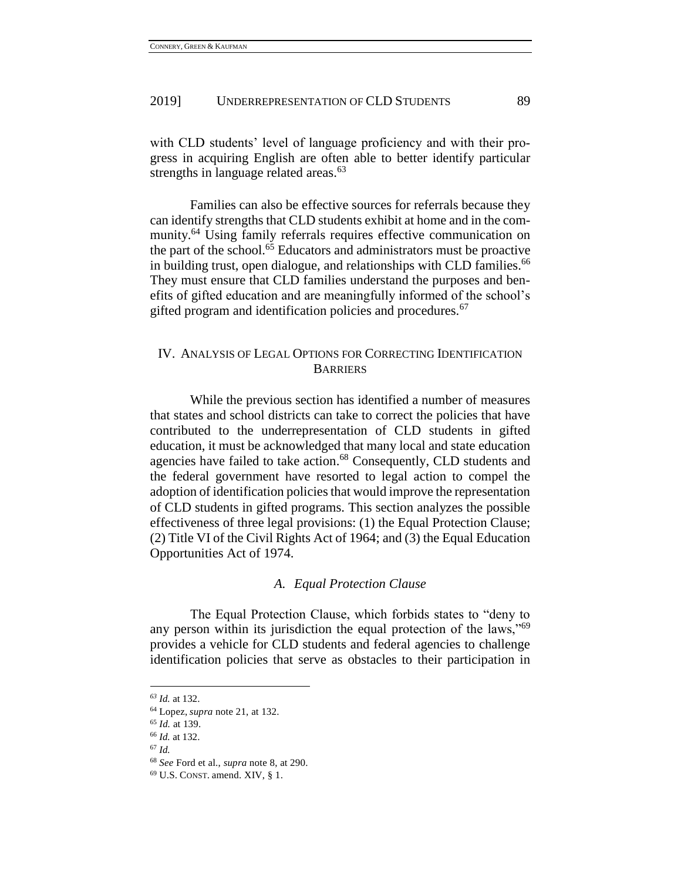with CLD students' level of language proficiency and with their progress in acquiring English are often able to better identify particular strengths in language related areas. $63$ 

Families can also be effective sources for referrals because they can identify strengths that CLD students exhibit at home and in the community.<sup>64</sup> Using family referrals requires effective communication on the part of the school.<sup>65</sup> Educators and administrators must be proactive in building trust, open dialogue, and relationships with CLD families.  $66$ They must ensure that CLD families understand the purposes and benefits of gifted education and are meaningfully informed of the school's gifted program and identification policies and procedures.<sup>67</sup>

# IV. ANALYSIS OF LEGAL OPTIONS FOR CORRECTING IDENTIFICATION **BARRIERS**

While the previous section has identified a number of measures that states and school districts can take to correct the policies that have contributed to the underrepresentation of CLD students in gifted education, it must be acknowledged that many local and state education agencies have failed to take action.<sup>68</sup> Consequently, CLD students and the federal government have resorted to legal action to compel the adoption of identification policies that would improve the representation of CLD students in gifted programs. This section analyzes the possible effectiveness of three legal provisions: (1) the Equal Protection Clause; (2) Title VI of the Civil Rights Act of 1964; and (3) the Equal Education Opportunities Act of 1974.

#### *A. Equal Protection Clause*

The Equal Protection Clause, which forbids states to "deny to any person within its jurisdiction the equal protection of the laws,"<sup>69</sup> provides a vehicle for CLD students and federal agencies to challenge identification policies that serve as obstacles to their participation in

*<sup>63</sup> Id.* at 132.

<sup>64</sup> Lopez, *supra* note 21, at 132.

<sup>65</sup> *Id.* at 139.

<sup>66</sup> *Id.* at 132.

<sup>67</sup> *Id.*

<sup>68</sup> *See* Ford et al., *supra* note 8, at 290.

 $69$  U.S. CONST. amend. XIV, § 1.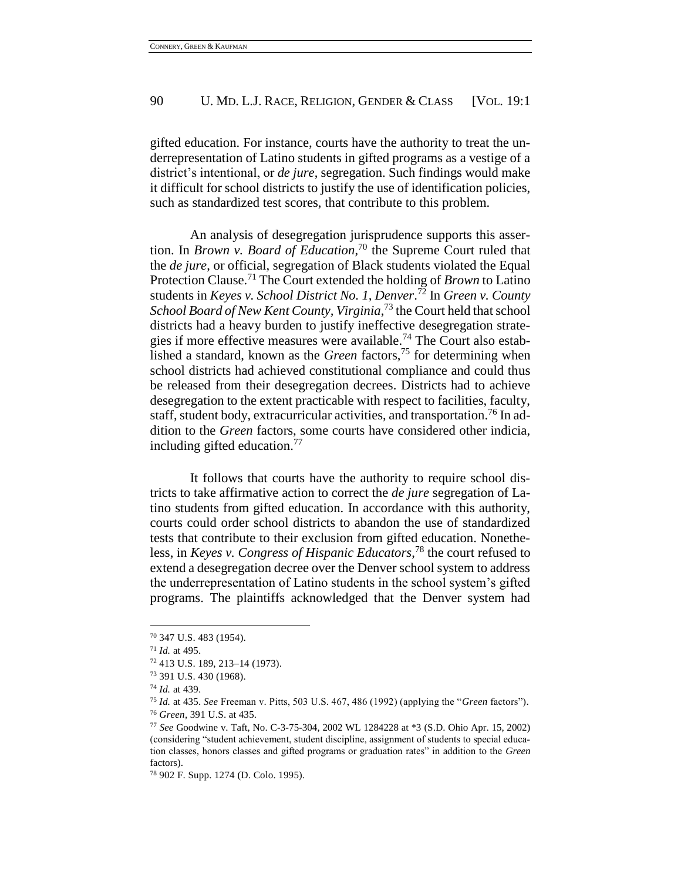gifted education. For instance, courts have the authority to treat the underrepresentation of Latino students in gifted programs as a vestige of a district's intentional, or *de jure*, segregation. Such findings would make it difficult for school districts to justify the use of identification policies, such as standardized test scores, that contribute to this problem.

An analysis of desegregation jurisprudence supports this assertion. In *Brown v. Board of Education*, <sup>70</sup> the Supreme Court ruled that the *de jure*, or official, segregation of Black students violated the Equal Protection Clause.<sup>71</sup> The Court extended the holding of *Brown* to Latino students in *Keyes v. School District No. 1, Denver*. <sup>72</sup> In *Green v. County*  School Board of New Kent County, Virginia,<sup>73</sup> the Court held that school districts had a heavy burden to justify ineffective desegregation strategies if more effective measures were available.<sup>74</sup> The Court also established a standard, known as the *Green* factors,<sup>75</sup> for determining when school districts had achieved constitutional compliance and could thus be released from their desegregation decrees. Districts had to achieve desegregation to the extent practicable with respect to facilities, faculty, staff, student body, extracurricular activities, and transportation.<sup>76</sup> In addition to the *Green* factors, some courts have considered other indicia, including gifted education.<sup>77</sup>

It follows that courts have the authority to require school districts to take affirmative action to correct the *de jure* segregation of Latino students from gifted education. In accordance with this authority, courts could order school districts to abandon the use of standardized tests that contribute to their exclusion from gifted education. Nonetheless, in *Keyes v. Congress of Hispanic Educators*, <sup>78</sup> the court refused to extend a desegregation decree over the Denver school system to address the underrepresentation of Latino students in the school system's gifted programs. The plaintiffs acknowledged that the Denver system had

<sup>70</sup> 347 U.S. 483 (1954).

<sup>71</sup> *Id.* at 495.

<sup>72</sup> 413 U.S. 189, 213–14 (1973).

<sup>73</sup> 391 U.S. 430 (1968).

<sup>74</sup> *Id.* at 439.

<sup>75</sup> *Id.* at 435. *See* Freeman v. Pitts, 503 U.S. 467, 486 (1992) (applying the "*Green* factors"). <sup>76</sup> *Green*, 391 U.S. at 435.

<sup>77</sup> *See* Goodwine v. Taft, No. C-3-75-304, 2002 WL 1284228 at \*3 (S.D. Ohio Apr. 15, 2002) (considering "student achievement, student discipline, assignment of students to special education classes, honors classes and gifted programs or graduation rates" in addition to the *Green*  factors).

<sup>78</sup> 902 F. Supp. 1274 (D. Colo. 1995).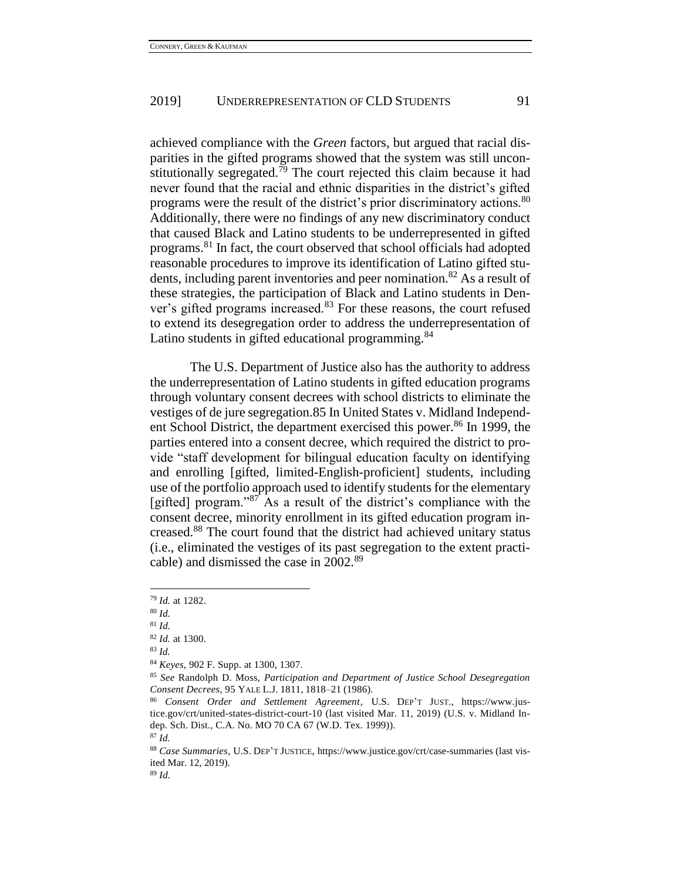achieved compliance with the *Green* factors, but argued that racial disparities in the gifted programs showed that the system was still unconstitutionally segregated.<sup> $\bar{7}9$ </sup> The court rejected this claim because it had never found that the racial and ethnic disparities in the district's gifted programs were the result of the district's prior discriminatory actions.<sup>80</sup> Additionally, there were no findings of any new discriminatory conduct that caused Black and Latino students to be underrepresented in gifted programs.<sup>81</sup> In fact, the court observed that school officials had adopted reasonable procedures to improve its identification of Latino gifted students, including parent inventories and peer nomination.<sup>82</sup> As a result of these strategies, the participation of Black and Latino students in Denver's gifted programs increased.<sup>83</sup> For these reasons, the court refused to extend its desegregation order to address the underrepresentation of Latino students in gifted educational programming.<sup>84</sup>

The U.S. Department of Justice also has the authority to address the underrepresentation of Latino students in gifted education programs through voluntary consent decrees with school districts to eliminate the vestiges of de jure segregation.85 In United States v. Midland Independent School District, the department exercised this power.<sup>86</sup> In 1999, the parties entered into a consent decree, which required the district to provide "staff development for bilingual education faculty on identifying and enrolling [gifted, limited-English-proficient] students, including use of the portfolio approach used to identify students for the elementary [gifted] program."<sup>87</sup> As a result of the district's compliance with the consent decree, minority enrollment in its gifted education program increased.<sup>88</sup> The court found that the district had achieved unitary status (i.e., eliminated the vestiges of its past segregation to the extent practicable) and dismissed the case in 2002.<sup>89</sup>

<sup>79</sup> *Id.* at 1282.

<sup>80</sup> *Id.*

<sup>81</sup> *Id.*

<sup>82</sup> *Id.* at 1300.

<sup>83</sup> *Id.*

<sup>84</sup> *Keyes*, 902 F. Supp. at 1300, 1307.

<sup>85</sup> *See* Randolph D. Moss, *Participation and Department of Justice School Desegregation Consent Decrees*, 95 YALE L.J. 1811, 1818–21 (1986).

<sup>86</sup> *Consent Order and Settlement Agreement*, U.S. DEP'T JUST., https://www.justice.gov/crt/united-states-district-court-10 (last visited Mar. 11, 2019) (U.S. v. Midland Indep. Sch. Dist., C.A. No. MO 70 CA 67 (W.D. Tex. 1999)).

<sup>87</sup> *Id.*

<sup>88</sup> *Case Summaries*, U.S. DEP'T JUSTICE, https://www.justice.gov/crt/case-summaries (last visited Mar. 12, 2019).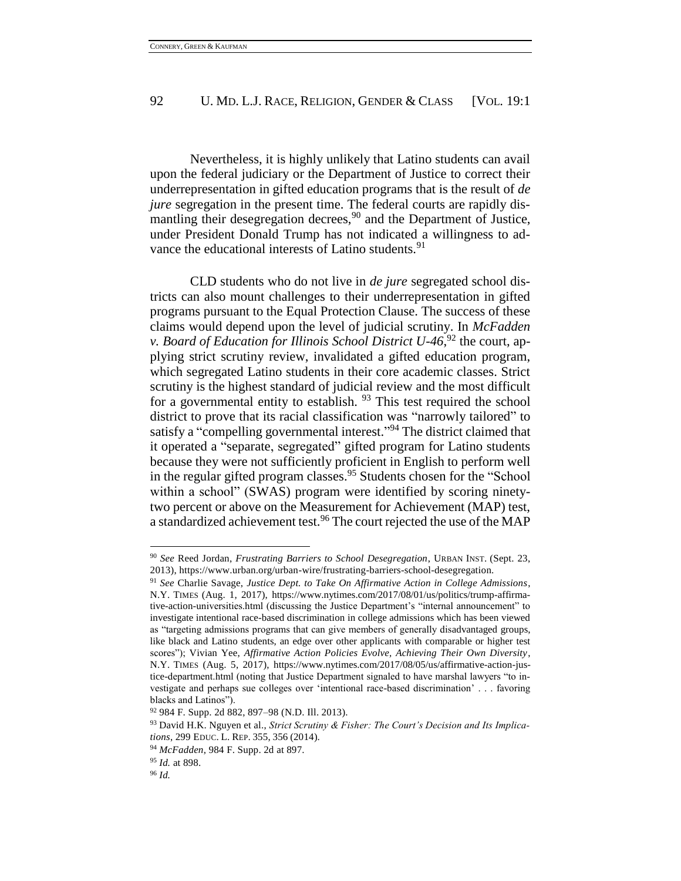Nevertheless, it is highly unlikely that Latino students can avail upon the federal judiciary or the Department of Justice to correct their underrepresentation in gifted education programs that is the result of *de jure* segregation in the present time. The federal courts are rapidly dismantling their desegregation decrees, $90$  and the Department of Justice, under President Donald Trump has not indicated a willingness to advance the educational interests of Latino students.<sup>91</sup>

CLD students who do not live in *de jure* segregated school districts can also mount challenges to their underrepresentation in gifted programs pursuant to the Equal Protection Clause. The success of these claims would depend upon the level of judicial scrutiny. In *McFadden v. Board of Education for Illinois School District U-46*, <sup>92</sup> the court, applying strict scrutiny review, invalidated a gifted education program, which segregated Latino students in their core academic classes. Strict scrutiny is the highest standard of judicial review and the most difficult for a governmental entity to establish.  $93$  This test required the school district to prove that its racial classification was "narrowly tailored" to satisfy a "compelling governmental interest."<sup>94</sup> The district claimed that it operated a "separate, segregated" gifted program for Latino students because they were not sufficiently proficient in English to perform well in the regular gifted program classes.<sup>95</sup> Students chosen for the "School within a school" (SWAS) program were identified by scoring ninetytwo percent or above on the Measurement for Achievement (MAP) test, a standardized achievement test.<sup>96</sup> The court rejected the use of the MAP

<sup>90</sup> *See* Reed Jordan, *Frustrating Barriers to School Desegregation*, URBAN INST. (Sept. 23, 2013), https://www.urban.org/urban-wire/frustrating-barriers-school-desegregation.

<sup>91</sup> *See* Charlie Savage, *Justice Dept. to Take On Affirmative Action in College Admissions*, N.Y. TIMES (Aug. 1, 2017), https://www.nytimes.com/2017/08/01/us/politics/trump-affirmative-action-universities.html (discussing the Justice Department's "internal announcement" to investigate intentional race-based discrimination in college admissions which has been viewed as "targeting admissions programs that can give members of generally disadvantaged groups, like black and Latino students, an edge over other applicants with comparable or higher test scores"); Vivian Yee, *Affirmative Action Policies Evolve, Achieving Their Own Diversity*, N.Y. TIMES (Aug. 5, 2017), https://www.nytimes.com/2017/08/05/us/affirmative-action-justice-department.html (noting that Justice Department signaled to have marshal lawyers "to investigate and perhaps sue colleges over 'intentional race-based discrimination' . . . favoring blacks and Latinos").

<sup>92</sup> 984 F. Supp. 2d 882, 897–98 (N.D. Ill. 2013).

<sup>93</sup> David H.K. Nguyen et al., *Strict Scrutiny & Fisher: The Court's Decision and Its Implications*, 299 EDUC. L. REP. 355, 356 (2014).

<sup>94</sup> *McFadden*, 984 F. Supp. 2d at 897.

<sup>95</sup> *Id.* at 898.

<sup>96</sup> *Id.*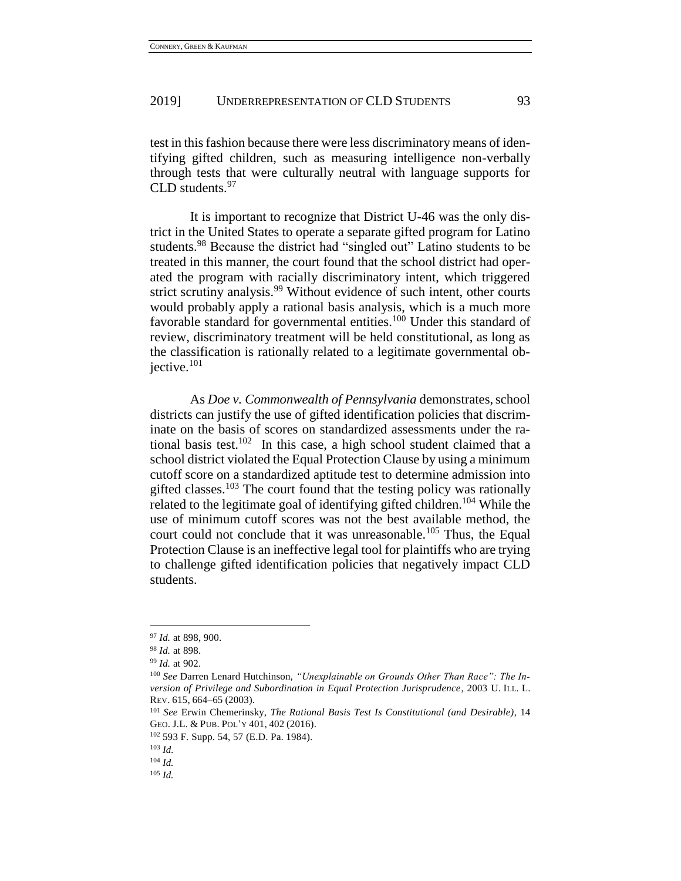test in this fashion because there were less discriminatory means of identifying gifted children, such as measuring intelligence non-verbally through tests that were culturally neutral with language supports for  $CLD$  students.  $97$ 

It is important to recognize that District U-46 was the only district in the United States to operate a separate gifted program for Latino students.<sup>98</sup> Because the district had "singled out" Latino students to be treated in this manner, the court found that the school district had operated the program with racially discriminatory intent, which triggered strict scrutiny analysis.<sup>99</sup> Without evidence of such intent, other courts would probably apply a rational basis analysis, which is a much more favorable standard for governmental entities.<sup>100</sup> Under this standard of review, discriminatory treatment will be held constitutional, as long as the classification is rationally related to a legitimate governmental objective.<sup>101</sup>

As *Doe v. Commonwealth of Pennsylvania* demonstrates, school districts can justify the use of gifted identification policies that discriminate on the basis of scores on standardized assessments under the rational basis test.<sup>102</sup> In this case, a high school student claimed that a school district violated the Equal Protection Clause by using a minimum cutoff score on a standardized aptitude test to determine admission into gifted classes.<sup>103</sup> The court found that the testing policy was rationally related to the legitimate goal of identifying gifted children.<sup>104</sup> While the use of minimum cutoff scores was not the best available method, the court could not conclude that it was unreasonable.<sup>105</sup> Thus, the Equal Protection Clause is an ineffective legal tool for plaintiffs who are trying to challenge gifted identification policies that negatively impact CLD students.

<sup>97</sup> *Id.* at 898, 900.

<sup>98</sup> *Id.* at 898.

<sup>99</sup> *Id.* at 902.

<sup>100</sup> *See* Darren Lenard Hutchinson, *"Unexplainable on Grounds Other Than Race": The Inversion of Privilege and Subordination in Equal Protection Jurisprudence*, 2003 U. ILL. L. REV. 615, 664–65 (2003).

<sup>101</sup> *See* Erwin Chemerinsky, *The Rational Basis Test Is Constitutional (and Desirable)*, 14 GEO. J.L. & PUB. POL'Y 401, 402 (2016).

<sup>102</sup> 593 F. Supp. 54, 57 (E.D. Pa. 1984).

<sup>103</sup> *Id.*

<sup>104</sup> *Id.*

<sup>105</sup> *Id.*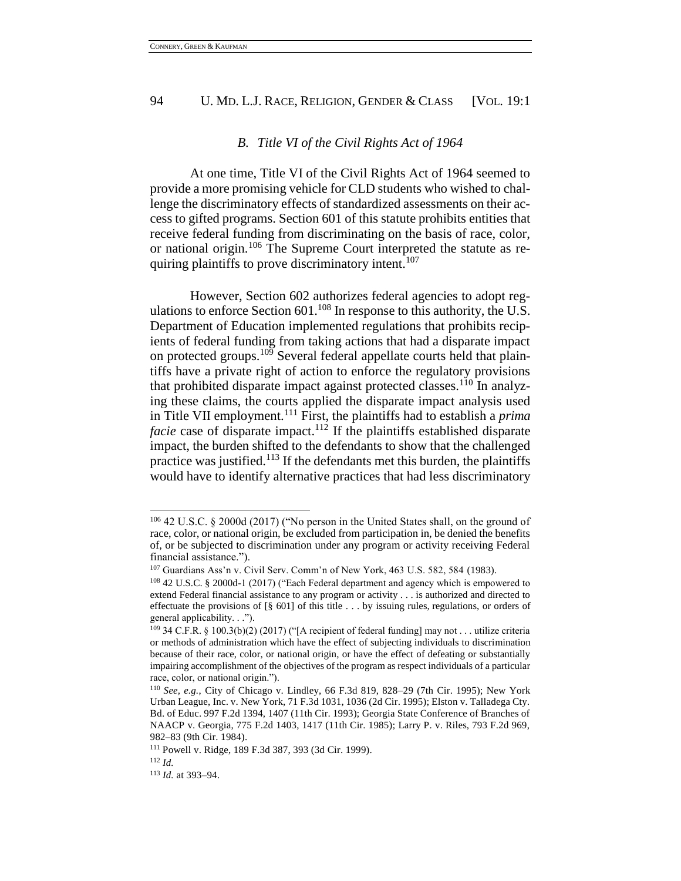### *B. Title VI of the Civil Rights Act of 1964*

At one time, Title VI of the Civil Rights Act of 1964 seemed to provide a more promising vehicle for CLD students who wished to challenge the discriminatory effects of standardized assessments on their access to gifted programs. Section 601 of this statute prohibits entities that receive federal funding from discriminating on the basis of race, color, or national origin.<sup>106</sup> The Supreme Court interpreted the statute as requiring plaintiffs to prove discriminatory intent.<sup>107</sup>

However, Section 602 authorizes federal agencies to adopt regulations to enforce Section  $601$ .<sup>108</sup> In response to this authority, the U.S. Department of Education implemented regulations that prohibits recipients of federal funding from taking actions that had a disparate impact on protected groups.<sup>109</sup> Several federal appellate courts held that plaintiffs have a private right of action to enforce the regulatory provisions that prohibited disparate impact against protected classes.<sup>110</sup> In analyzing these claims, the courts applied the disparate impact analysis used in Title VII employment.<sup>111</sup> First, the plaintiffs had to establish a *prima facie* case of disparate impact.<sup>112</sup> If the plaintiffs established disparate impact, the burden shifted to the defendants to show that the challenged practice was justified.<sup>113</sup> If the defendants met this burden, the plaintiffs would have to identify alternative practices that had less discriminatory

<sup>106</sup> 42 U.S.C. § 2000d (2017) ("No person in the United States shall, on the ground of race, color, or national origin, be excluded from participation in, be denied the benefits of, or be subjected to discrimination under any program or activity receiving Federal financial assistance.").

<sup>107</sup> Guardians Ass'n v. Civil Serv. Comm'n of New York, 463 U.S. 582, 584 (1983).

<sup>108</sup> 42 U.S.C. § 2000d-1 (2017) ("Each Federal department and agency which is empowered to extend Federal financial assistance to any program or activity . . . is authorized and directed to effectuate the provisions of [§ 601] of this title . . . by issuing rules, regulations, or orders of general applicability. . .").

<sup>109</sup> 34 C.F.R. § 100.3(b)(2) (2017) ("[A recipient of federal funding] may not . . . utilize criteria or methods of administration which have the effect of subjecting individuals to discrimination because of their race, color, or national origin, or have the effect of defeating or substantially impairing accomplishment of the objectives of the program as respect individuals of a particular race, color, or national origin.").

<sup>110</sup> *See, e.g.*, City of Chicago v. Lindley, 66 F.3d 819, 828–29 (7th Cir. 1995); New York Urban League, Inc. v. New York, 71 F.3d 1031, 1036 (2d Cir. 1995); Elston v. Talladega Cty. Bd. of Educ. 997 F.2d 1394, 1407 (11th Cir. 1993); Georgia State Conference of Branches of NAACP v. Georgia, 775 F.2d 1403, 1417 (11th Cir. 1985); Larry P. v. Riles, 793 F.2d 969, 982–83 (9th Cir. 1984).

<sup>111</sup> Powell v. Ridge, 189 F.3d 387, 393 (3d Cir. 1999).

<sup>112</sup> *Id.*

<sup>113</sup> *Id.* at 393–94.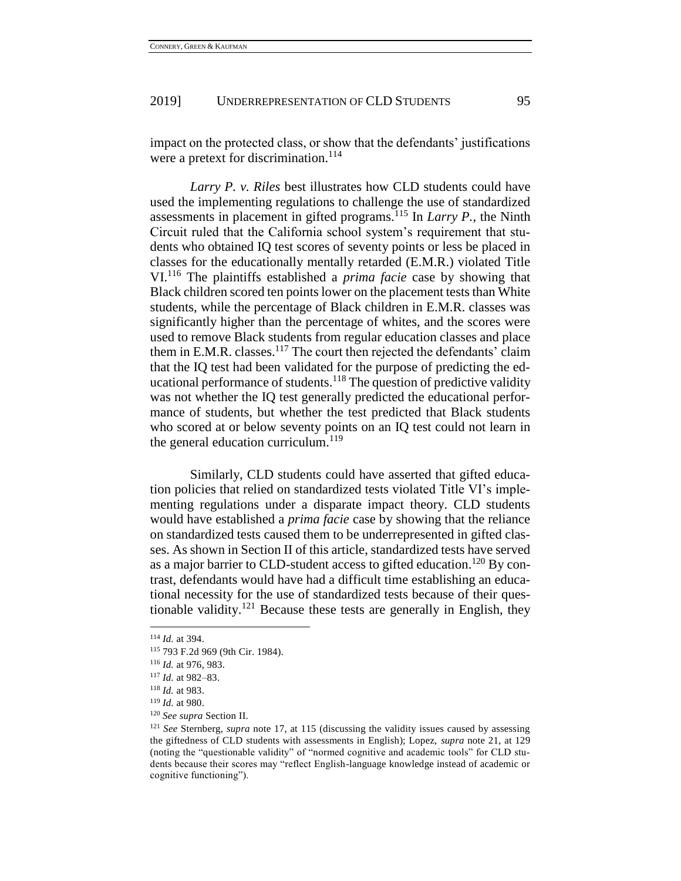impact on the protected class, or show that the defendants' justifications were a pretext for discrimination.<sup>114</sup>

*Larry P. v. Riles* best illustrates how CLD students could have used the implementing regulations to challenge the use of standardized assessments in placement in gifted programs.<sup>115</sup> In *Larry P.*, the Ninth Circuit ruled that the California school system's requirement that students who obtained IQ test scores of seventy points or less be placed in classes for the educationally mentally retarded (E.M.R.) violated Title VI.<sup>116</sup> The plaintiffs established a *prima facie* case by showing that Black children scored ten points lower on the placement tests than White students, while the percentage of Black children in E.M.R. classes was significantly higher than the percentage of whites, and the scores were used to remove Black students from regular education classes and place them in E.M.R. classes.<sup>117</sup> The court then rejected the defendants' claim that the IQ test had been validated for the purpose of predicting the educational performance of students.<sup>118</sup> The question of predictive validity was not whether the IQ test generally predicted the educational performance of students, but whether the test predicted that Black students who scored at or below seventy points on an IQ test could not learn in the general education curriculum.<sup>119</sup>

Similarly, CLD students could have asserted that gifted education policies that relied on standardized tests violated Title VI's implementing regulations under a disparate impact theory. CLD students would have established a *prima facie* case by showing that the reliance on standardized tests caused them to be underrepresented in gifted classes. As shown in Section II of this article, standardized tests have served as a major barrier to CLD-student access to gifted education.<sup>120</sup> By contrast, defendants would have had a difficult time establishing an educational necessity for the use of standardized tests because of their questionable validity.<sup>121</sup> Because these tests are generally in English, they

 $\overline{a}$ 

<sup>120</sup> *See supra* Section II.

<sup>114</sup> *Id.* at 394.

<sup>115</sup> 793 F.2d 969 (9th Cir. 1984).

<sup>116</sup> *Id.* at 976, 983.

<sup>117</sup> *Id.* at 982–83.

<sup>118</sup> *Id.* at 983.

<sup>119</sup> *Id.* at 980.

<sup>121</sup> *See* Sternberg, *supra* note 17, at 115 (discussing the validity issues caused by assessing the giftedness of CLD students with assessments in English); Lopez, *supra* note 21, at 129 (noting the "questionable validity" of "normed cognitive and academic tools" for CLD students because their scores may "reflect English-language knowledge instead of academic or cognitive functioning").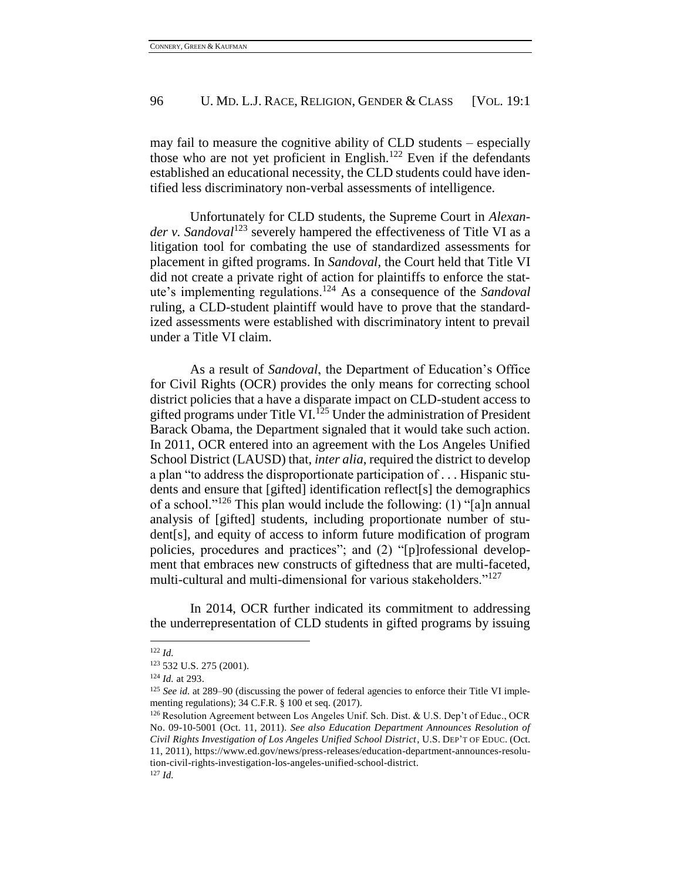may fail to measure the cognitive ability of CLD students – especially those who are not yet proficient in English.<sup>122</sup> Even if the defendants established an educational necessity, the CLD students could have identified less discriminatory non-verbal assessments of intelligence.

Unfortunately for CLD students, the Supreme Court in *Alexander v. Sandoval*<sup>123</sup> severely hampered the effectiveness of Title VI as a litigation tool for combating the use of standardized assessments for placement in gifted programs. In *Sandoval*, the Court held that Title VI did not create a private right of action for plaintiffs to enforce the statute's implementing regulations.<sup>124</sup> As a consequence of the *Sandoval* ruling, a CLD-student plaintiff would have to prove that the standardized assessments were established with discriminatory intent to prevail under a Title VI claim.

As a result of *Sandoval*, the Department of Education's Office for Civil Rights (OCR) provides the only means for correcting school district policies that a have a disparate impact on CLD-student access to gifted programs under Title VI.<sup>125</sup> Under the administration of President Barack Obama, the Department signaled that it would take such action. In 2011, OCR entered into an agreement with the Los Angeles Unified School District (LAUSD) that, *inter alia*, required the district to develop a plan "to address the disproportionate participation of . . . Hispanic students and ensure that [gifted] identification reflect[s] the demographics of a school."<sup>126</sup> This plan would include the following: (1) "[a]n annual analysis of [gifted] students, including proportionate number of student[s], and equity of access to inform future modification of program policies, procedures and practices"; and (2) "[p]rofessional development that embraces new constructs of giftedness that are multi-faceted, multi-cultural and multi-dimensional for various stakeholders."<sup>127</sup>

In 2014, OCR further indicated its commitment to addressing the underrepresentation of CLD students in gifted programs by issuing

<sup>122</sup> *Id.*

<sup>123</sup> 532 U.S. 275 (2001).

<sup>124</sup> *Id.* at 293.

<sup>&</sup>lt;sup>125</sup> *See id.* at 289–90 (discussing the power of federal agencies to enforce their Title VI implementing regulations); 34 C.F.R. § 100 et seq. (2017).

<sup>126</sup> Resolution Agreement between Los Angeles Unif. Sch. Dist. & U.S. Dep't of Educ., OCR No. 09-10-5001 (Oct. 11, 2011). *See also Education Department Announces Resolution of Civil Rights Investigation of Los Angeles Unified School District*, U.S. DEP'T OF EDUC. (Oct. 11, 2011), https://www.ed.gov/news/press-releases/education-department-announces-resolution-civil-rights-investigation-los-angeles-unified-school-district. <sup>127</sup> *Id.*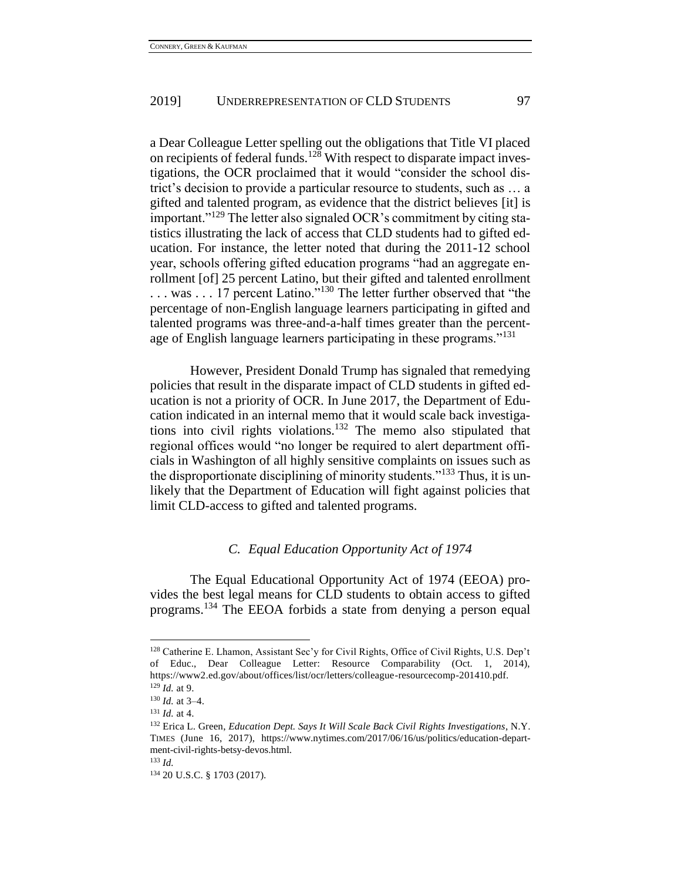a Dear Colleague Letter spelling out the obligations that Title VI placed on recipients of federal funds.<sup>128</sup> With respect to disparate impact investigations, the OCR proclaimed that it would "consider the school district's decision to provide a particular resource to students, such as … a gifted and talented program, as evidence that the district believes [it] is important."<sup>129</sup> The letter also signaled OCR's commitment by citing statistics illustrating the lack of access that CLD students had to gifted education. For instance, the letter noted that during the 2011-12 school year, schools offering gifted education programs "had an aggregate enrollment [of] 25 percent Latino, but their gifted and talented enrollment ... was ... 17 percent Latino."<sup>130</sup> The letter further observed that "the percentage of non-English language learners participating in gifted and talented programs was three-and-a-half times greater than the percentage of English language learners participating in these programs."<sup>131</sup>

However, President Donald Trump has signaled that remedying policies that result in the disparate impact of CLD students in gifted education is not a priority of OCR. In June 2017, the Department of Education indicated in an internal memo that it would scale back investigations into civil rights violations.<sup>132</sup> The memo also stipulated that regional offices would "no longer be required to alert department officials in Washington of all highly sensitive complaints on issues such as the disproportionate disciplining of minority students.<sup> $133$ </sup> Thus, it is unlikely that the Department of Education will fight against policies that limit CLD-access to gifted and talented programs.

### *C. Equal Education Opportunity Act of 1974*

The Equal Educational Opportunity Act of 1974 (EEOA) provides the best legal means for CLD students to obtain access to gifted programs.<sup>134</sup> The EEOA forbids a state from denying a person equal

<sup>128</sup> Catherine E. Lhamon, Assistant Sec'y for Civil Rights, Office of Civil Rights, U.S. Dep't of Educ., Dear Colleague Letter: Resource Comparability (Oct. 1, 2014), https://www2.ed.gov/about/offices/list/ocr/letters/colleague-resourcecomp-201410.pdf.

<sup>129</sup> *Id.* at 9.

<sup>130</sup> *Id.* at 3–4. <sup>131</sup> *Id.* at 4.

<sup>132</sup> Erica L. Green, *Education Dept. Says It Will Scale Back Civil Rights Investigations*, N.Y. TIMES (June 16, 2017), https://www.nytimes.com/2017/06/16/us/politics/education-department-civil-rights-betsy-devos.html.

<sup>133</sup> *Id.*

<sup>134</sup> 20 U.S.C. § 1703 (2017).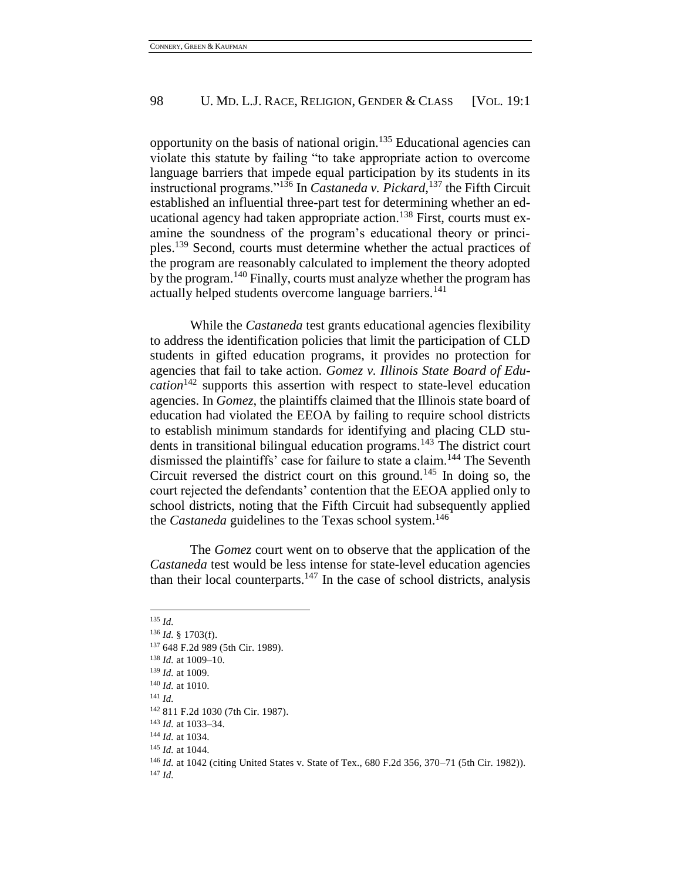opportunity on the basis of national origin.<sup>135</sup> Educational agencies can violate this statute by failing "to take appropriate action to overcome language barriers that impede equal participation by its students in its instructional programs."<sup>136</sup> In *Castaneda v. Pickard*, <sup>137</sup> the Fifth Circuit established an influential three-part test for determining whether an educational agency had taken appropriate action.<sup>138</sup> First, courts must examine the soundness of the program's educational theory or principles.<sup>139</sup> Second, courts must determine whether the actual practices of the program are reasonably calculated to implement the theory adopted by the program.<sup>140</sup> Finally, courts must analyze whether the program has actually helped students overcome language barriers.<sup>141</sup>

While the *Castaneda* test grants educational agencies flexibility to address the identification policies that limit the participation of CLD students in gifted education programs, it provides no protection for agencies that fail to take action. *Gomez v. Illinois State Board of Education*<sup>142</sup> supports this assertion with respect to state-level education agencies. In *Gomez*, the plaintiffs claimed that the Illinois state board of education had violated the EEOA by failing to require school districts to establish minimum standards for identifying and placing CLD students in transitional bilingual education programs.<sup>143</sup> The district court dismissed the plaintiffs' case for failure to state a claim.<sup>144</sup> The Seventh Circuit reversed the district court on this ground.<sup>145</sup> In doing so, the court rejected the defendants' contention that the EEOA applied only to school districts, noting that the Fifth Circuit had subsequently applied the *Castaneda* guidelines to the Texas school system.<sup>146</sup>

The *Gomez* court went on to observe that the application of the *Castaneda* test would be less intense for state-level education agencies than their local counterparts.<sup>147</sup> In the case of school districts, analysis

l

<sup>141</sup> *Id.*

<sup>147</sup> *Id.*

<sup>135</sup> *Id.*

<sup>136</sup> *Id.* § 1703(f).

<sup>137</sup> 648 F.2d 989 (5th Cir. 1989).

<sup>138</sup> *Id.* at 1009–10.

<sup>139</sup> *Id.* at 1009.

<sup>140</sup> *Id.* at 1010.

<sup>142</sup> 811 F.2d 1030 (7th Cir. 1987).

<sup>143</sup> *Id.* at 1033–34.

<sup>144</sup> *Id.* at 1034.

<sup>145</sup> *Id.* at 1044.

<sup>146</sup> *Id.* at 1042 (citing United States v. State of Tex., 680 F.2d 356, 370–71 (5th Cir. 1982)).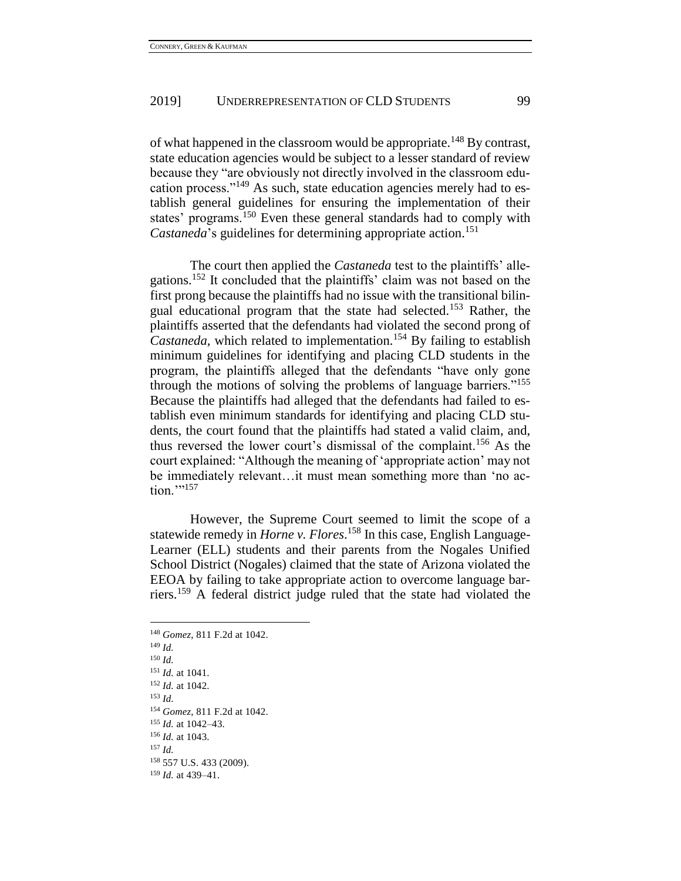of what happened in the classroom would be appropriate.<sup>148</sup> By contrast, state education agencies would be subject to a lesser standard of review because they "are obviously not directly involved in the classroom education process."<sup>149</sup> As such, state education agencies merely had to establish general guidelines for ensuring the implementation of their states' programs.<sup>150</sup> Even these general standards had to comply with *Castaneda*'s guidelines for determining appropriate action.<sup>151</sup>

The court then applied the *Castaneda* test to the plaintiffs' allegations.<sup>152</sup> It concluded that the plaintiffs' claim was not based on the first prong because the plaintiffs had no issue with the transitional bilingual educational program that the state had selected.<sup>153</sup> Rather, the plaintiffs asserted that the defendants had violated the second prong of *Castaneda*, which related to implementation.<sup>154</sup> By failing to establish minimum guidelines for identifying and placing CLD students in the program, the plaintiffs alleged that the defendants "have only gone through the motions of solving the problems of language barriers."<sup>155</sup> Because the plaintiffs had alleged that the defendants had failed to establish even minimum standards for identifying and placing CLD students, the court found that the plaintiffs had stated a valid claim, and, thus reversed the lower court's dismissal of the complaint.<sup>156</sup> As the court explained: "Although the meaning of 'appropriate action' may not be immediately relevant…it must mean something more than 'no ac- $\text{tion.} \text{''}$ <sup>157</sup>

However, the Supreme Court seemed to limit the scope of a statewide remedy in *Horne v. Flores*. <sup>158</sup> In this case, English Language-Learner (ELL) students and their parents from the Nogales Unified School District (Nogales) claimed that the state of Arizona violated the EEOA by failing to take appropriate action to overcome language barriers.<sup>159</sup> A federal district judge ruled that the state had violated the

<sup>148</sup> *Gomez*, 811 F.2d at 1042. <sup>149</sup> *Id.* <sup>150</sup> *Id.* <sup>151</sup> *Id.* at 1041. <sup>152</sup> *Id.* at 1042. <sup>153</sup> *Id.* <sup>154</sup> *Gomez*, 811 F.2d at 1042. <sup>155</sup> *Id.* at 1042–43. <sup>156</sup> *Id.* at 1043. <sup>157</sup> *Id.* <sup>158</sup> 557 U.S. 433 (2009). <sup>159</sup> *Id.* at 439–41.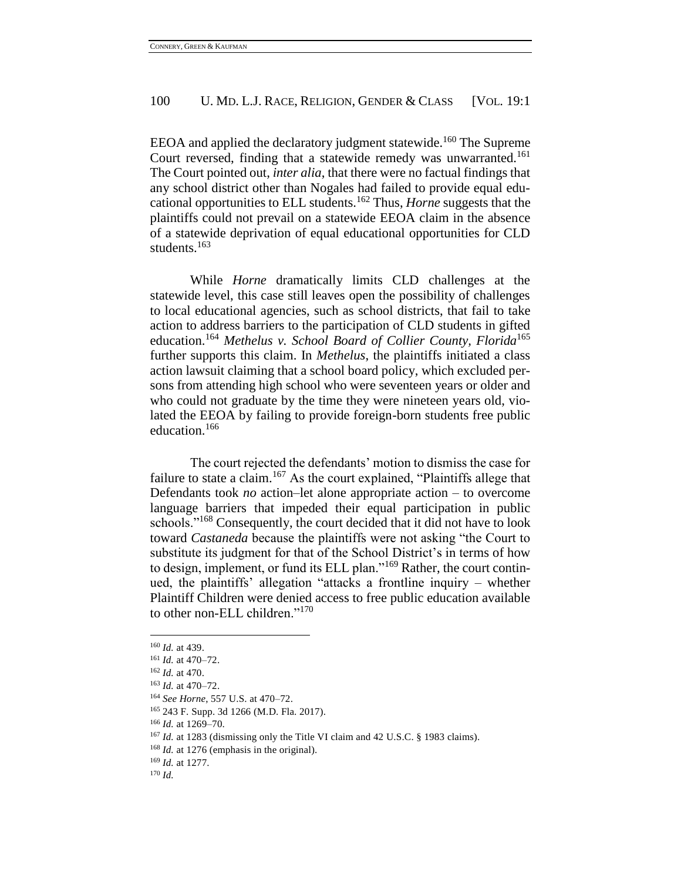EEOA and applied the declaratory judgment statewide.<sup>160</sup> The Supreme Court reversed, finding that a statewide remedy was unwarranted.<sup>161</sup> The Court pointed out, *inter alia*, that there were no factual findings that any school district other than Nogales had failed to provide equal educational opportunities to ELL students.<sup>162</sup> Thus, *Horne* suggests that the plaintiffs could not prevail on a statewide EEOA claim in the absence of a statewide deprivation of equal educational opportunities for CLD students.<sup>163</sup>

While *Horne* dramatically limits CLD challenges at the statewide level, this case still leaves open the possibility of challenges to local educational agencies, such as school districts, that fail to take action to address barriers to the participation of CLD students in gifted education.<sup>164</sup> *Methelus v. School Board of Collier County, Florida*<sup>165</sup> further supports this claim. In *Methelus*, the plaintiffs initiated a class action lawsuit claiming that a school board policy, which excluded persons from attending high school who were seventeen years or older and who could not graduate by the time they were nineteen years old, violated the EEOA by failing to provide foreign-born students free public education.<sup>166</sup>

The court rejected the defendants' motion to dismiss the case for failure to state a claim.<sup>167</sup> As the court explained, "Plaintiffs allege that Defendants took *no* action–let alone appropriate action – to overcome language barriers that impeded their equal participation in public schools."<sup>168</sup> Consequently, the court decided that it did not have to look toward *Castaneda* because the plaintiffs were not asking "the Court to substitute its judgment for that of the School District's in terms of how to design, implement, or fund its ELL plan."<sup>169</sup> Rather, the court continued, the plaintiffs' allegation "attacks a frontline inquiry – whether Plaintiff Children were denied access to free public education available to other non-ELL children."<sup>170</sup>

 $\overline{a}$ 

<sup>169</sup> *Id.* at 1277.

<sup>170</sup> *Id.*

<sup>160</sup> *Id.* at 439.

<sup>161</sup> *Id.* at 470–72.

<sup>162</sup> *Id.* at 470.

<sup>163</sup> *Id.* at 470–72.

<sup>164</sup> *See Horne*, 557 U.S. at 470–72.

<sup>165</sup> 243 F. Supp. 3d 1266 (M.D. Fla. 2017).

<sup>166</sup> *Id.* at 1269–70.

<sup>167</sup> *Id.* at 1283 (dismissing only the Title VI claim and 42 U.S.C. § 1983 claims).

<sup>168</sup> *Id.* at 1276 (emphasis in the original).